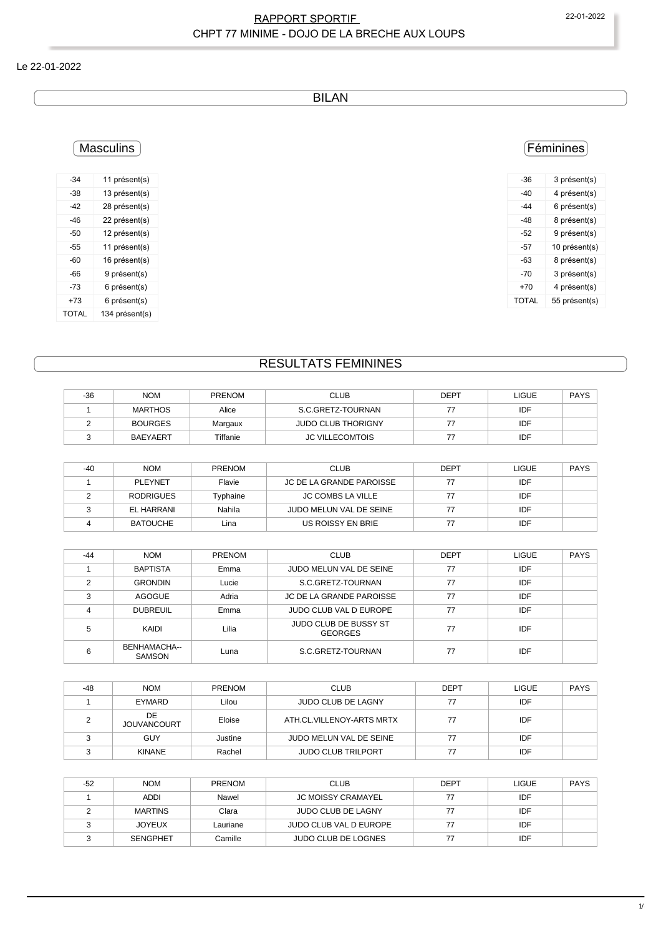### RAPPORT SPORTIF 22-01-2022 CHPT 77 MINIME - DOJO DE LA BRECHE AUX LOUPS

#### Le 22-01-2022

BILAN

### **Masculins**

| -34   | 11 présent(s)  |
|-------|----------------|
| -38   | 13 présent(s)  |
| -42   | 28 présent(s)  |
| $-46$ | 22 présent(s)  |
| -50   | 12 présent(s)  |
| -55   | 11 présent(s)  |
| -60   | 16 présent(s)  |
| -66   | 9 présent(s)   |
| -73   | 6 présent(s)   |
| +73   | 6 présent(s)   |
| TOTAL | 134 présent(s) |

## Féminines

| -36          | 3 présent(s)  |
|--------------|---------------|
| -40          | 4 présent(s)  |
| -44          | 6 présent(s)  |
| -48          | 8 présent(s)  |
| -52          | 9 présent(s)  |
| -57          | 10 présent(s) |
| -63          | 8 présent(s)  |
| -70          | 3 présent(s)  |
| $+70$        | 4 présent(s)  |
| <b>TOTAL</b> | 55 présent(s) |
|              |               |

# RESULTATS FEMININES

| $-36$ | <b>NOM</b>      | <b>PRENOM</b> | <b>CLUB</b>               | <b>DEPT</b> | <b>LIGUE</b> | <b>PAYS</b> |
|-------|-----------------|---------------|---------------------------|-------------|--------------|-------------|
|       | MARTHOS         | Alice         | S.C.GRETZ-TOURNAN         |             | IDF          |             |
|       | <b>BOURGES</b>  | Margaux       | <b>JUDO CLUB THORIGNY</b> |             | IDF          |             |
|       | <b>BAEYAERT</b> | Tiffanie      | <b>JC VILLECOMTOIS</b>    |             | IDF          |             |

| -40 | <b>NOM</b>       | <b>PRENOM</b> | <b>CLUB</b>              | <b>DEPT</b> | LIGUE | <b>PAYS</b> |
|-----|------------------|---------------|--------------------------|-------------|-------|-------------|
|     | <b>PLEYNET</b>   | Flavie        | JC DE LA GRANDE PAROISSE |             | IDF   |             |
|     | <b>RODRIGUES</b> | Typhaine      | <b>JC COMBS LA VILLE</b> |             | IDF   |             |
|     | EL HARRANI       | Nahila        | JUDO MELUN VAL DE SEINE  |             | IDF   |             |
|     | <b>BATOUCHE</b>  | Lina          | US ROISSY EN BRIE        |             | IDF   |             |

| $-44$ | <b>NOM</b>                    | <b>PRENOM</b> | <b>CLUB</b>                                    | <b>DEPT</b> | <b>LIGUE</b> | <b>PAYS</b> |
|-------|-------------------------------|---------------|------------------------------------------------|-------------|--------------|-------------|
|       | <b>BAPTISTA</b>               | Emma          | JUDO MELUN VAL DE SEINE                        | 77          | IDF          |             |
| C     | <b>GRONDIN</b>                | Lucie         | S.C.GRETZ-TOURNAN                              | 77          | IDF          |             |
| 3     | <b>AGOGUE</b>                 | Adria         | JC DE LA GRANDE PAROISSE                       | 77          | IDF          |             |
|       | <b>DUBREUIL</b>               | Emma          | JUDO CLUB VAL D EUROPE                         | 77          | IDF          |             |
| 5     | KAIDI                         | Lilia         | <b>JUDO CLUB DE BUSSY ST</b><br><b>GEORGES</b> | 77          | IDF          |             |
| 6     | BENHAMACHA--<br><b>SAMSON</b> | Luna          | S.C.GRETZ-TOURNAN                              | 77          | IDF          |             |

| -48 | <b>NOM</b>                | <b>PRENOM</b> | <b>CLUB</b>               | <b>DEPT</b> | <b>LIGUE</b> | <b>PAYS</b> |
|-----|---------------------------|---------------|---------------------------|-------------|--------------|-------------|
|     | <b>EYMARD</b>             | Lilou         | <b>JUDO CLUB DE LAGNY</b> | 77          | IDF          |             |
|     | DE.<br><b>JOUVANCOURT</b> | Eloise        | ATH.CL.VILLENOY-ARTS MRTX | 77          | IDF          |             |
|     | GUY                       | Justine       | JUDO MELUN VAL DE SEINE   | 77          | IDF          |             |
|     | <b>KINANE</b>             | Rachel        | <b>JUDO CLUB TRILPORT</b> | 77          | IDF          |             |

| $-52$ | <b>NOM</b>      | <b>PRENOM</b> | <b>CLUB</b>                | <b>DEPT</b> | <b>LIGUE</b> | <b>PAYS</b> |
|-------|-----------------|---------------|----------------------------|-------------|--------------|-------------|
|       | <b>ADDI</b>     | Nawel         | <b>JC MOISSY CRAMAYEL</b>  |             | IDF          |             |
|       | <b>MARTINS</b>  | Clara         | <b>JUDO CLUB DE LAGNY</b>  |             | IDF          |             |
|       | <b>JOYEUX</b>   | Lauriane      | JUDO CLUB VAL D EUROPE     |             | IDF          |             |
|       | <b>SENGPHET</b> | Camille       | <b>JUDO CLUB DE LOGNES</b> |             | IDF          |             |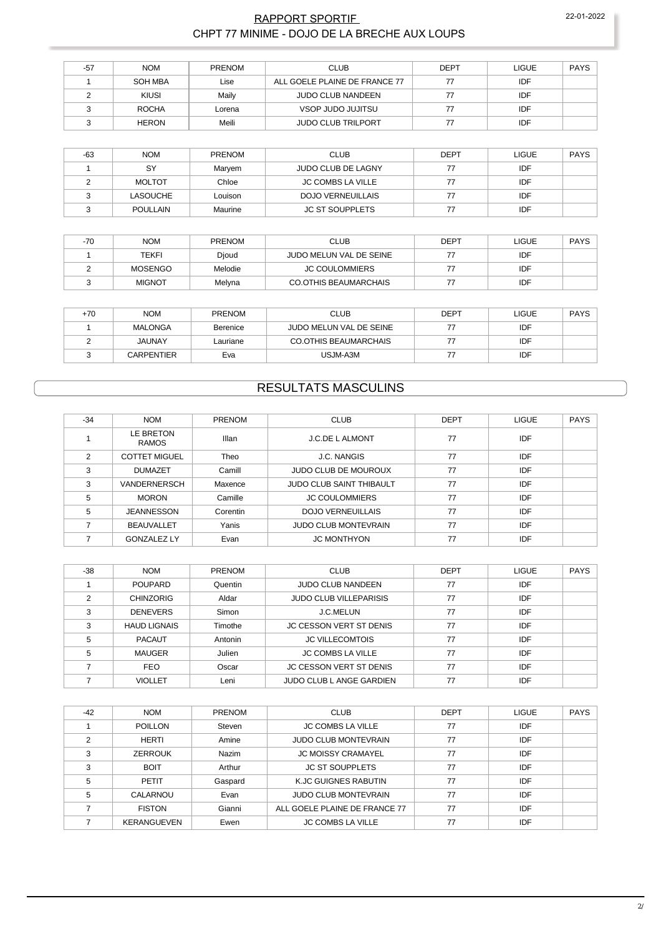### RAPPORT SPORTIF 22-01-2022 CHPT 77 MINIME - DOJO DE LA BRECHE AUX LOUPS

| -57 | <b>NOM</b>   | <b>PRENOM</b> | <b>CLUB</b>                   | <b>DEPT</b> | <b>LIGUE</b> | <b>PAYS</b> |
|-----|--------------|---------------|-------------------------------|-------------|--------------|-------------|
|     | SOH MBA      | Lise          | ALL GOELE PLAINE DE FRANCE 77 |             | IDF          |             |
|     | <b>KIUSI</b> | Maily         | JUDO CLUB NANDEEN             |             | IDF          |             |
|     | <b>ROCHA</b> | Lorena        | VSOP JUDO JUJITSU             |             | IDF          |             |
|     | <b>HERON</b> | Meili         | <b>JUDO CLUB TRILPORT</b>     |             | IDF          |             |

| $-63$ | <b>NOM</b>      | <b>PRENOM</b> | <b>CLUB</b>              | <b>DEPT</b> | LIGUE | <b>PAYS</b> |
|-------|-----------------|---------------|--------------------------|-------------|-------|-------------|
|       | SY              | Maryem        | JUDO CLUB DE LAGNY       |             | IDF   |             |
|       | <b>MOLTOT</b>   | Chloe         | <b>JC COMBS LA VILLE</b> | 77          | IDF   |             |
|       | <b>LASOUCHE</b> | Louison       | <b>DOJO VERNEUILLAIS</b> | 77          | IDF   |             |
|       | <b>POULLAIN</b> | Maurine       | JC ST SOUPPLETS          | 77          | IDF   |             |

| $-70$ | <b>NOM</b>    | <b>PRENOM</b> | <b>CLUB</b>             | <b>DEPT</b> | LIGUE | <b>PAYS</b> |
|-------|---------------|---------------|-------------------------|-------------|-------|-------------|
|       | TEKFI         | Djoud         | JUDO MELUN VAL DE SEINE |             | IDF   |             |
|       | MOSENGO       | Melodie       | <b>JC COULOMMIERS</b>   |             | IDF   |             |
|       | <b>MIGNOT</b> | Melyna        | CO.OTHIS BEAUMARCHAIS   |             | IDF   |             |

| $+70$ | <b>NOM</b>        | <b>PRENOM</b> | <b>CLUB</b>             | DEPT | LIGUE | <b>PAYS</b> |
|-------|-------------------|---------------|-------------------------|------|-------|-------------|
|       | <b>MALONGA</b>    | Berenice      | JUDO MELUN VAL DE SEINE |      | IDF   |             |
|       | <b>JAUNAY</b>     | Lauriane      | CO.OTHIS BEAUMARCHAIS   |      | IDF   |             |
|       | <b>CARPENTIER</b> | Eva           | USJM-A3M                |      | IDF   |             |

# RESULTATS MASCULINS

| $-34$ | <b>NOM</b>                | <b>PRENOM</b> | <b>CLUB</b>                     | <b>DEPT</b> | LIGUE      | <b>PAYS</b> |
|-------|---------------------------|---------------|---------------------------------|-------------|------------|-------------|
|       | LE BRETON<br><b>RAMOS</b> | Illan         | <b>J.C.DE L ALMONT</b>          | 77          | IDF        |             |
| 2     | <b>COTTET MIGUEL</b>      | Theo          | <b>J.C. NANGIS</b>              | 77          | <b>IDF</b> |             |
| 3     | <b>DUMAZET</b>            | Camill        | <b>JUDO CLUB DE MOUROUX</b>     | 77          | <b>IDF</b> |             |
| 3     | <b>VANDERNERSCH</b>       | Maxence       | <b>JUDO CLUB SAINT THIBAULT</b> | 77          | IDF        |             |
| 5     | <b>MORON</b>              | Camille       | <b>JC COULOMMIERS</b>           | 77          | <b>IDF</b> |             |
| 5     | <b>JEANNESSON</b>         | Corentin      | <b>DOJO VERNEUILLAIS</b>        | 77          | IDF        |             |
|       | <b>BEAUVALLET</b>         | Yanis         | <b>JUDO CLUB MONTEVRAIN</b>     | 77          | IDF        |             |
|       | <b>GONZALEZ LY</b>        | Evan          | <b>JC MONTHYON</b>              | 77          | IDF        |             |

| $-38$ | <b>NOM</b>          | <b>PRENOM</b> | <b>CLUB</b>                    | <b>DEPT</b> | <b>LIGUE</b> | <b>PAYS</b> |
|-------|---------------------|---------------|--------------------------------|-------------|--------------|-------------|
|       | <b>POUPARD</b>      | Quentin       | <b>JUDO CLUB NANDEEN</b>       | 77          | <b>IDF</b>   |             |
| C     | <b>CHINZORIG</b>    | Aldar         | <b>JUDO CLUB VILLEPARISIS</b>  | 77          | IDF          |             |
| 3     | <b>DENEVERS</b>     | Simon         | J.C.MELUN                      | 77          | IDF          |             |
| 3     | <b>HAUD LIGNAIS</b> | Timothe       | JC CESSON VERT ST DENIS        | 77          | IDF          |             |
| 5     | <b>PACAUT</b>       | Antonin       | <b>JC VILLECOMTOIS</b>         | 77          | IDF          |             |
| 5     | MAUGER              | Julien        | <b>JC COMBS LA VILLE</b>       | 77          | IDF          |             |
|       | <b>FEO</b>          | Oscar         | <b>JC CESSON VERT ST DENIS</b> | 77          | IDF          |             |
|       | <b>VIOLLET</b>      | Leni          | JUDO CLUB L ANGE GARDIEN       | 77          | IDF          |             |

| $-42$ | <b>NOM</b>     | <b>PRENOM</b> | <b>CLUB</b>                   | <b>DEPT</b> | <b>LIGUE</b> | <b>PAYS</b> |
|-------|----------------|---------------|-------------------------------|-------------|--------------|-------------|
|       | <b>POILLON</b> | Steven        | <b>JC COMBS LA VILLE</b>      | 77          | IDF          |             |
| っ     | HERTI          | Amine         | <b>JUDO CLUB MONTEVRAIN</b>   | 77          | <b>IDF</b>   |             |
| 3     | <b>ZERROUK</b> | Nazim         | <b>JC MOISSY CRAMAYEL</b>     | 77          | <b>IDF</b>   |             |
| 3     | <b>BOIT</b>    | Arthur        | <b>JC ST SOUPPLETS</b>        | 77          | <b>IDF</b>   |             |
| 5     | PETIT          | Gaspard       | K.JC GUIGNES RABUTIN          | 77          | <b>IDF</b>   |             |
| 5     | CALARNOU       | Evan          | <b>JUDO CLUB MONTEVRAIN</b>   | 77          | <b>IDF</b>   |             |
|       | <b>FISTON</b>  | Gianni        | ALL GOELE PLAINE DE FRANCE 77 | 77          | <b>IDF</b>   |             |
|       | KERANGUEVEN    | Ewen          | <b>JC COMBS LA VILLE</b>      | 77          | IDF          |             |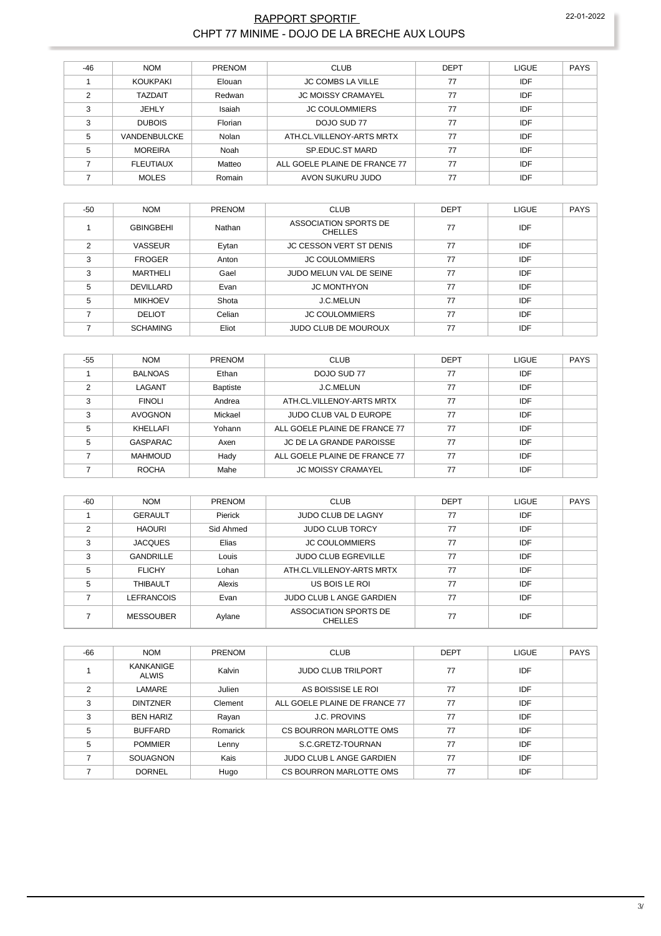### RAPPORT SPORTIF 22-01-2022 CHPT 77 MINIME - DOJO DE LA BRECHE AUX LOUPS

| -46 | <b>NOM</b>       | <b>PRENOM</b> | <b>CLUB</b>                   | <b>DEPT</b> | <b>LIGUE</b> | <b>PAYS</b> |
|-----|------------------|---------------|-------------------------------|-------------|--------------|-------------|
|     | <b>KOUKPAKI</b>  | Elouan        | <b>JC COMBS LA VILLE</b>      | 77          | IDF          |             |
| ◠   | <b>TAZDAIT</b>   | Redwan        | <b>JC MOISSY CRAMAYEL</b>     | 77          | <b>IDF</b>   |             |
| 3   | JEHLY            | Isaiah        | <b>JC COULOMMIERS</b>         | 77          | <b>IDF</b>   |             |
| 3   | <b>DUBOIS</b>    | Florian       | DOJO SUD 77                   | 77          | <b>IDF</b>   |             |
| 5   | VANDENBULCKE     | Nolan         | ATH.CL.VILLENOY-ARTS MRTX     | 77          | <b>IDF</b>   |             |
| 5   | <b>MOREIRA</b>   | Noah          | SP.EDUC.ST MARD               | 77          | <b>IDF</b>   |             |
|     | <b>FLEUTIAUX</b> | Matteo        | ALL GOELE PLAINE DE FRANCE 77 | 77          | <b>IDF</b>   |             |
|     | <b>MOLES</b>     | Romain        | AVON SUKURU JUDO              | 77          | <b>IDF</b>   |             |

| $-50$ | <b>NOM</b>       | <b>PRENOM</b> | <b>CLUB</b>                             | <b>DEPT</b> | <b>LIGUE</b> | <b>PAYS</b> |
|-------|------------------|---------------|-----------------------------------------|-------------|--------------|-------------|
|       | <b>GBINGBEHI</b> | Nathan        | ASSOCIATION SPORTS DE<br><b>CHELLES</b> | 77          | IDF          |             |
| 2     | <b>VASSEUR</b>   | Eytan         | <b>JC CESSON VERT ST DENIS</b>          | 77          | <b>IDF</b>   |             |
| 3     | <b>FROGER</b>    | Anton         | <b>JC COULOMMIERS</b>                   | 77          | IDF          |             |
| 3     | MARTHELI         | Gael          | JUDO MELUN VAL DE SEINE                 | 77          | <b>IDF</b>   |             |
| 5     | DEVILLARD        | Evan          | <b>JC MONTHYON</b>                      | 77          | IDF          |             |
| 5     | <b>MIKHOEV</b>   | Shota         | J.C.MELUN                               | 77          | <b>IDF</b>   |             |
|       | <b>DELIOT</b>    | Celian        | <b>JC COULOMMIERS</b>                   | 77          | <b>IDF</b>   |             |
|       | <b>SCHAMING</b>  | Eliot         | <b>JUDO CLUB DE MOUROUX</b>             | 77          | IDF          |             |

| $-55$         | <b>NOM</b>      | <b>PRENOM</b>   | <b>CLUB</b>                   | DEPT | <b>LIGUE</b> | <b>PAYS</b> |
|---------------|-----------------|-----------------|-------------------------------|------|--------------|-------------|
|               | <b>BALNOAS</b>  | Ethan           | DOJO SUD 77                   | 77   | IDF          |             |
| $\mathcal{P}$ | LAGANT          | <b>Baptiste</b> | <b>J.C.MELUN</b>              | 77   | <b>IDF</b>   |             |
| 3             | <b>FINOLI</b>   | Andrea          | ATH.CL.VILLENOY-ARTS MRTX     | 77   | <b>IDF</b>   |             |
| 3             | <b>AVOGNON</b>  | Mickael         | JUDO CLUB VAL D EUROPE        | 77   | <b>IDF</b>   |             |
| 5             | KHELLAFI        | Yohann          | ALL GOELE PLAINE DE FRANCE 77 | 77   | <b>IDF</b>   |             |
| 5             | <b>GASPARAC</b> | Axen            | JC DE LA GRANDE PAROISSE      | 77   | IDF          |             |
|               | <b>MAHMOUD</b>  | Hady            | ALL GOELE PLAINE DE FRANCE 77 | 77   | <b>IDF</b>   |             |
|               | <b>ROCHA</b>    | Mahe            | <b>JC MOISSY CRAMAYEL</b>     | 77   | IDF          |             |

| $-60$         | <b>NOM</b>        | PRENOM    | <b>CLUB</b>                             | <b>DEPT</b> | LIGUE      | <b>PAYS</b> |
|---------------|-------------------|-----------|-----------------------------------------|-------------|------------|-------------|
|               | <b>GERAULT</b>    | Pierick   | <b>JUDO CLUB DE LAGNY</b>               | 77          | IDF        |             |
| $\mathcal{P}$ | <b>HAOURI</b>     | Sid Ahmed | <b>JUDO CLUB TORCY</b>                  | 77          | IDF        |             |
| 3             | <b>JACQUES</b>    | Elias     | <b>JC COULOMMIERS</b>                   | 77          | <b>IDF</b> |             |
| 3             | <b>GANDRILLE</b>  | Louis     | <b>JUDO CLUB EGREVILLE</b>              | 77          | IDF        |             |
| 5             | <b>FLICHY</b>     | Lohan     | ATH CL VILLENOY-ARTS MRTX               | 77          | <b>IDF</b> |             |
| 5             | <b>THIBAULT</b>   | Alexis    | US BOIS LE ROI                          | 77          | IDF        |             |
|               | <b>LEFRANCOIS</b> | Evan      | JUDO CLUB L ANGE GARDIEN                | 77          | <b>IDF</b> |             |
|               | <b>MESSOUBER</b>  | Aylane    | ASSOCIATION SPORTS DE<br><b>CHELLES</b> | 77          | IDF        |             |

| -66 | <b>NOM</b>                       | <b>PRENOM</b> | <b>CLUB</b>                   | <b>DEPT</b> | LIGUE | <b>PAYS</b> |
|-----|----------------------------------|---------------|-------------------------------|-------------|-------|-------------|
|     | <b>KANKANIGE</b><br><b>ALWIS</b> | Kalvin        | <b>JUDO CLUB TRILPORT</b>     | 77          | IDF   |             |
| 2   | LAMARE                           | Julien        | AS BOISSISE LE ROI            | 77          | IDF   |             |
| 3   | <b>DINTZNER</b>                  | Clement       | ALL GOELE PLAINE DE FRANCE 77 | 77          | IDF   |             |
| 3   | <b>BEN HARIZ</b>                 | Rayan         | <b>J.C. PROVINS</b>           | 77          | IDF   |             |
| 5   | <b>BUFFARD</b>                   | Romarick      | CS BOURRON MARLOTTE OMS       | 77          | IDF   |             |
| 5   | <b>POMMIER</b>                   | Lenny         | S.C.GRETZ-TOURNAN             | 77          | IDF   |             |
|     | SOUAGNON                         | Kais          | JUDO CLUB L ANGE GARDIEN      | 77          | IDF   |             |
|     | <b>DORNEL</b>                    | Hugo          | CS BOURRON MARLOTTE OMS       | 77          | IDF   |             |